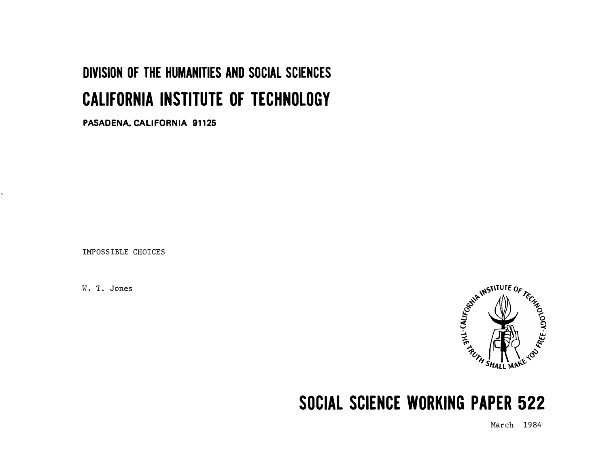# DIVISION OF THE HUMANITIES AND SOCIAL SCIENCES CALIFORNIA INSTITUTE OF TECHNOLOGY

PASADENA. CALIFORNIA 91125

IMPOSSIBLE CHOICES

k,



# SOCIAL SCIENCE WORKING PAPER 522

March 1984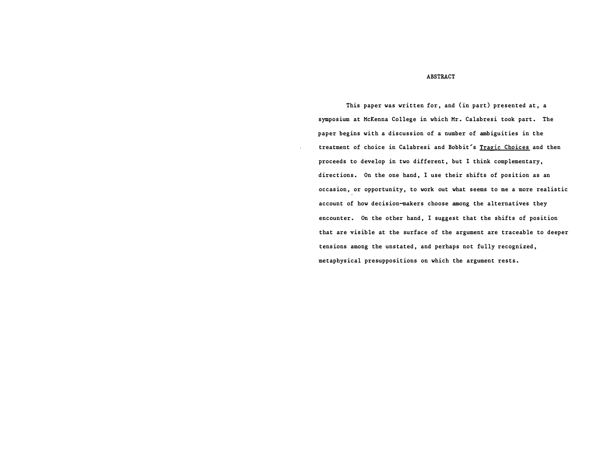## ABSTRACT

This paper was written for, and (in part) presented at, a symposium at McKenna College in which Mr. Calabresi took part. The paper begins with a discussion of a number of ambiguities in the treatment of choice in Calabresi and Bobbit's Tragic Choices and then proceeds to develop in two different, but I think complementary, directions. On the one hand, I use their shifts of position as an occasion, or opportunity, to work out what seems to me a more realistic account of how decision-makers choose among the alternatives they encounter. On the other hand, I suggest that the shifts of position that are visible at the surface of the argument are traceable to deeper tensions among the unstated, and perhaps not fully recognized, metaphysical presuppositions on which the argument rests.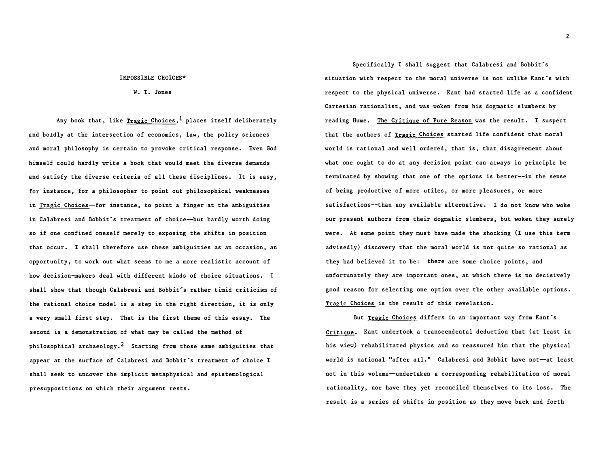#### IMPOSSIBLE CHOICES\*

W. T. Jones

Any book that, like Tragic Choices,<sup>1</sup> places itself deliberately and boldly at the intersection of economics, law, the policy sciences and moral philosophy is certain to provoke critical response. Even God himself could hardly write a book that would meet the diverse demands and satisfy the diverse criteria of all these disciplines. It is easy, for instance, for a philosopher to point out philosophical weaknesses in Tragic Choices--for instance, to point a finger at the ambiguities in Calabresi and Bobbit's treatment of choice--but hardly worth doing so if one confined oneself merely to exposing the shifts in position that occur. I shall therefore use these ambiguities as an occasion, an opportunity, to work out what seems to me a more realistic account of how decision-makers deal with different kinds of choice situations. I shall show that though Calabresi and Bobbit's rather timid criticism of the rational choice model is a step in the right direction, it is only a very small first step. That is the first theme of this essay. The second is a demonstration of what may be called the method of philosophical archaeology.<sup>2</sup> Starting from those same ambiguities that appear at the surface of Calabresi and Bobbit's treatment of choice I shall seek to uncover the implicit metaphysical and epistemological presuppositions on which their argument rests.

Specifically I shall suggest that Calabresi and Bobbit's situation with respect to the moral universe is not unlike Kant's with respect to the physical universe. Kant had started life as a confident Cartesian rationalist, and was woken from his dogmatic slumbers by reading Hume. The Critique of Pure Reason was the result. I suspect that the authors of Tragic Choices started life confident that moral world is rational and well ordered, that is, that disagreement about what one ought to do at any decision point can always in principle be terminated by showing that one of the options is better--in the sense of being productive of more utiles, or more pleasures, or more satisfactions--than any available alternative. I do not know who woke our present authors from their dogmatic slumbers, but woken they surely were. At some point they must have made the shocking (I use this term advisedly) discovery that the moral world is not quite so rational as they had believed it to be: there are some choice points, and unfortunately they are important ones, at which there is no decisively good reason for selecting one option over the other available options. Tragic Choices is the result of this revelation.

But Tragic Choices differs in an important way from Kant's Critique. Kant undertook a transcendental deduction that (at least in his view) rehabilitated physics and so reassured him that the physical world is national "after all." Calabresi and Bobbit have not--at least not in this volume-undertaken a corresponding rehabilitation of moral rationality, nor have they yet reconciled themselves to its loss. The result is a series of shifts in position as they move back and forth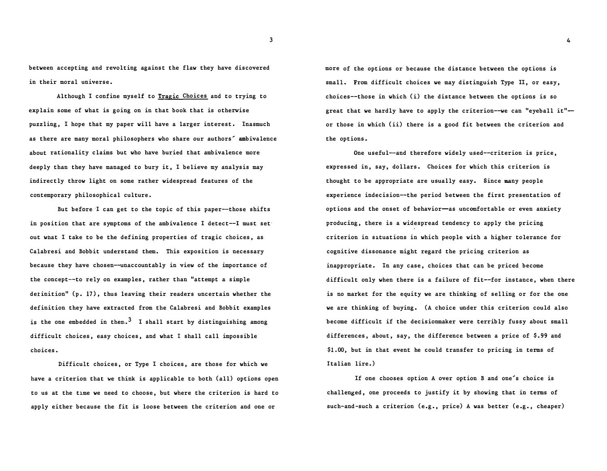between accepting and revolting against the flaw they have discovered in their moral universe.

Although I confine myself to Tragic Choices and to trying to explain some of what is going on in that book that is otherwise puzzling, I hope that my paper will have a larger interest. Inasmuch as there are many moral philosophers who share our authors' ambivalence about rationality claims but who have buried that ambivalence more deeply than they have managed to bury it, I believe my analysis may indirectly throw light on some rather widespread features of the contemporary philosophical culture.

But before I can get to the topic of this paper--those shifts in position that are symptoms of the ambivalence I detect--I must set out wnat I take to be the defining properties of tragic choices, as Calabresi and Bobbit understand them. This exposition is necessary because they have chosen--unaccountably in view of the importance of the concept--to rely on examples, rather than "attempt a simple detinition" (p. 17), thus leaving their readers uncertain whether the definition they have extracted from the Calabresi and Bobbit examples is the one embedded in them.<sup>3</sup> I shall start by distinguishing among difficult choices, easy choices, and what I shall call impossible choices.

Difficult choices, or Type I choices, are those for which we have a criterion that we think is applicable to both (all) options open to us at the time we need to choose, but where the criterion is hard to apply either because the fit is loose between the criterion and one or

more of the options or because the distance between the options is small. From difficult choices we may distinguish Type II, or easy, choices--those in which (i) the distance between the options is so great that we hardly have to apply the criterion--we can "eyeball it" or those in which (ii) there is a good fit between the criterion and the options.

One useful-and therefore widely used--criterion is price, expressed in, say, dollars. Choices for which this criterion is thought to be appropriate are usually easy. Since many people experience indecision--the period between the first presentation of options and the onset of behavior-as uncomfortable or even anxiety producing, there is a widespread tendency to apply the pricing criterion in situations in which people with a higher tolerance for cognitive dissonance might regard the pricing criterion as inappropriate. In any case, choices that can be priced become difficult only when there is a failure of fit--for instance, when there is no market for the equity we are thinking of selling or for the one we are thinking of buying. (A choice under this criterion could also become difficult if the decisionmaker were terribly fussy about small differences, about, say, the difference between a price of \$.99 and \$1.00, but in that event he could transfer to pricing in terms of Italian lire.)

If one chooses option A over option B and one's choice is challenged, one proceeds to justify it by showing that in terms of such-and-such a criterion (e.g., price) A was better (e.g., cheaper)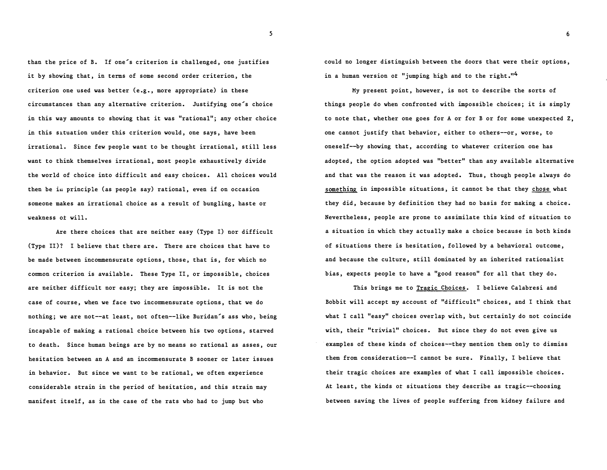than the price of B. If one's criterion is challenged, one justifies it by showing that, in terms of some second order criterion, the criterion one used was better (e.g., more appropriate) in these circumstances than any alternative criterion. Justifying one's choice in this way amounts to showing that it was "rational"; any other choice in this situation under this criterion would, one says, have been irrational. Since few people want to be thought irrational, still less want to think themselves irrational, most people exhaustively divide the world of choice into difficult and easy choices. All choices would then be iu principle (as people say) rational, even if on occasion someone makes an irrational choice as a result of bungling, haste or weakness o± will.

Are there choices that are neither easy (Type I) nor difficult (Type II)? I believe that there are. There are choices that have to be made between incommensurate options, those, that is, for which no common criterion is available. These Type II, or impossible, choices are neither difficult nor easy; they are impossible. It is not the case of course, when we face two incommensurate options, that we do nothing; we are not--at least, not often--like Buridan's ass who, being incapable of making a rational choice between his two options, starved to death. Since human beings are by no means so rational as asses, our hesitation between an A and an incommensurate B sooner or later issues in behavior. But since we want to be rational, we often experience considerable strain in the period of hesitation, and this strain may manifest itself, as in the case of the rats who had to jump but who

could no longer distinguish between the doors that were their options, in a human version of "jumping high and to the right."<sup>4</sup>

My present point, however, is not to describe the sorts of things people do when confronted with impossible choices; it is simply to note that, whether one goes for A or for B or for some unexpected Z, one cannot justify that behavior, either to others--or, worse, to oneself--by showing that, according to whatever criterion one has adopted, the option adopted was "better" than any available alternative and that was the reason it was adopted. Thus, though people always do something in impossible situations, it cannot be that they chose what they did, because by definition they had no basis for making a choice. Nevertheless, people are prone to assimilate this kind of situation to a situation in which they actually make a choice because in both kinds of situations there is hesitation, followed by a behavioral outcome, and because the culture, still dominated by an inherited rationalist bias, expects people to have a "good reason" for all that they do.

This brings me to Tragic Choices. I believe Calabresi and Bobbit will accept my account of "difficult" choices, and I think that what I call "easy" choices overlap with, but certainly do not coincide with, their "trivial" choices. But since they do not even give us examples of these kinds of choices--they mention them only to dismiss them from consideration--I cannot be sure. Finally, I believe that their tragic choices are examples of what I call impossible choices. At least, the kinds ot situations they describe as tragic--choosing between saving the lives of people suffering from kidney failure and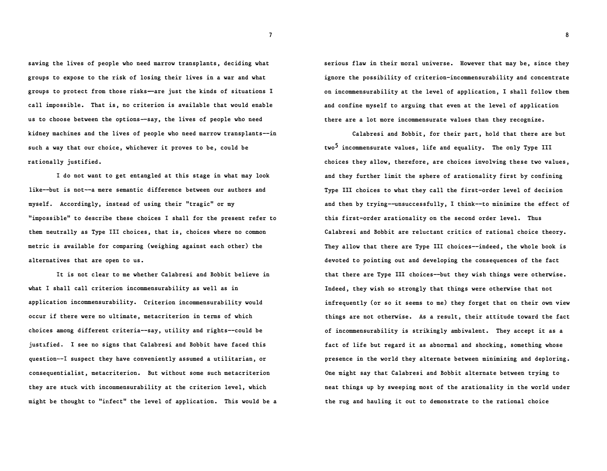saving the lives of people who need marrow transplants, deciding what groups to expose to the risk of losing their lives in a war and what groups to protect from those risks-are just the kinds of situations I call impossible. That is, no criterion is available that would enable us to choose between the options--say, the lives of people who need kidney machines and the lives of people who need marrow transplants--in such a way that our choice, whichever it proves to be, could be rationally justified.

I do not want to get entangled at this stage in what may look like--but is not--a mere semantic difference between our authors and myself. Accordingly, instead of using their "tragic" or my "impossible" to describe these choices I shall for the present refer to them neutrally as Type III choices, that is, choices where no common metric is available for comparing (weighing against each other) the alternatives that are open to us.

It is not clear to me whether Calabresi and Bobbit believe in what I shall call criterion incommensurability as well as in application incommensurability. Criterion incommensurability would occur if there were no ultimate, metacriterion in terms of which choices among different criteria--say, utility and rights--could be justified. I see no signs that Calabresi and Bobbit have faced this question--! suspect they have conveniently assumed a utilitarian, or consequentialist, metacriterion. But without some such metacriterion they are stuck with incommensurability at the criterion level, which might be thought to "infect" the level of application. This would be a serious flaw in their moral universe. However that may be, since they ignore the possibility of criterion-incommensurability and concentrate on incommensurability at the level of application, I shall follow them and confine myself to arguing that even at the level of application there are a lot more incommensurate values than they recognize.

Calabresi and Bobbit, for their part, hold that there are but  $two<sup>5</sup>$  incommensurate values, life and equality. The only Type III choices they allow, therefore, are choices involving these two values, and they further limit the sphere of arationality first by confining Type III choices to what they call the first-order level of decision and then by trying--unsuccessfully, I think--to minimize the effect of this first-order arationality on the second order level. Thus Calabresi and Bobbit are reluctant critics of rational choice theory. They allow that there are Type III choices--indeed, the whole book is devoted to pointing out and developing the consequences of the fact that there are Type III choices--but they wish things were otherwise. Indeed, they wish so strongly that things were otherwise that not infrequently (or so it seems to me) they forget that on their own view things are not otherwise. As a result, their attitude toward the fact of incommensurability is strikingly ambivalent. They accept it as a fact of life but regard it as abnormal and shocking, something whose presence in the world they alternate between minimizing and deploring. One might say that Calabresi and Bobbit alternate between trying to neat things up by sweeping most of the arationality in the world under the rug and hauling it out to demonstrate to the rational choice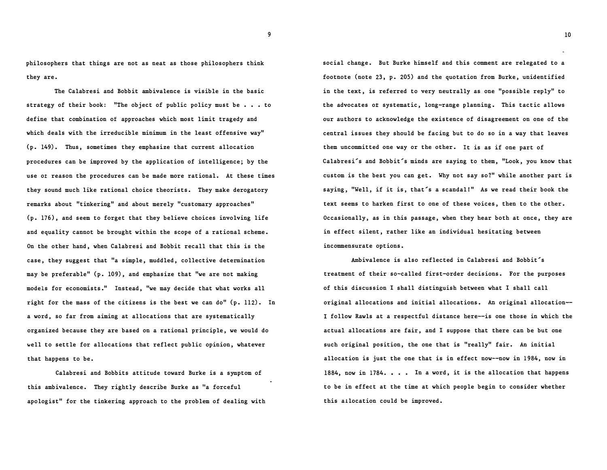philosophers that things are not as neat as those philosophers think they are.

The Calabresi and Bobbit ambivalence is visible in the basic strategy of their book: "The object of public policy must be  $\ldots$  to define that combination of approaches which most limit tragedy and which deals with the irreducible minimum in the least offensive way" (p. 149). Thus, sometimes they emphasize that current allocation procedures can be improved by the application of intelligence; by the use or reason the procedures can be made more rational. At these times they sound much like rational choice theorists. They make derogatory remarks about "tinkering" and about merely "customary approaches" (p. 176), and seem to forget that they believe choices involving life and equality cannot be brought within the scope of a rational scheme. On the other hand, when Calabresi and Bobbit recall that this is the case, they suggest that "a simple, muddled, collective determination may be preferable" (p. 109), and emphasize that "we are not making models for economists." Instead, "we may decide that what works all right for the mass of the citizens is the best we can do"  $(p. 112)$ . In a word, so far from aiming at allocations that are systematically organized because they are based on a rational principle, we would do well to settle for allocations that reflect public opinion, whatever that happens to be.

Calabresi and Bobbits attitude toward Burke is a symptom of this ambivalence. They rightly describe Burke as "a forceful apologist" for the tinkering approach to the problem of dealing with social change. But Burke himself and this comment are relegated to a footnote (note 23, p. 205) and the quotation from Burke, unidentified in the text, is referred to very neutrally as one "possible reply" to the advocates ot systematic, long-range planning. This tactic allows our authors to acknowledge the existence of disagreement on one of the central issues they should be facing but to do so in a way that leaves them uncommitted one way or the other. It is as if one part of Calabresi's and Bobbit's minds are saying to them, "Look, you know that custom is the best you can get. Why not say so?" while another part is saying, "Well, if it is, that's a scandal!" As we read their book the text seems to harken first to one of these voices, then to the other. Occasionally, as in this passage, when they hear both at once, they are in effect silent, rather like an individual hesitating between incommensurate options.

Ambivalence is also reflected in Calabresi and Bobbit's treatment of their so-called first-order decisions. For the purposes of this discussion I shall distinguish between what I shall call original allocations and initial allocations. An original allocation- I follow Rawls at a respectful distance here--is one those in which the actual allocations are fair, and I suppose that there can be but one such original position, the one that is "really" fair. An initial allocation is just the one that is in effect now--now in 1984, now in 1884, now in 1784. . . In a word, it is the allocation that happens to be in effect at the time at which people begin to consider whether this allocation could be improved.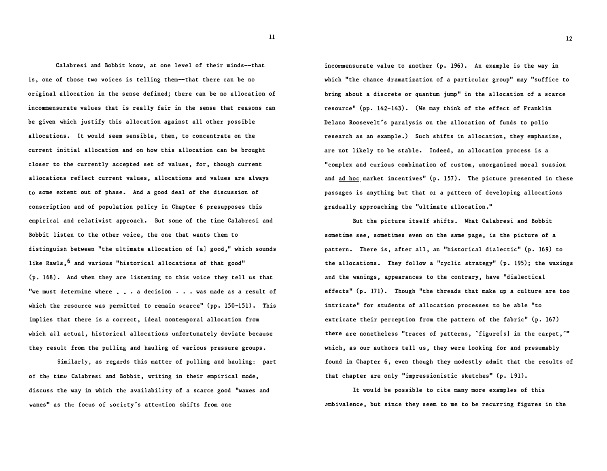Calabresi and Bobbit know, at one level of their minds--that is, one of those two voices is telling them--that there can be no original allocation in the sense defined; there can be no allocation of incommensurate values that is really fair in the sense that reasons can be given which justify this allocation against all other possible allocations. It would seem sensible, then, to concentrate on the current initial allocation and on how this allocation can be brought closer to the currently accepted set of values, for, though current allocations reflect current values, allocations and values are always to some extent out of phase. And a good deal of the discussion of conscription and of population policy in Chapter 6 presupposes this empirical and relativist approach. But some of the time Calabresi and Bobbit listen to the other voice, the one that wants them to distinguish between "the ultimate allocation of [a] good," which sounds like Rawls, <sup>6</sup> and various "historical allocations of that good" (p. 168). And when they are listening to this voice they tell us that "we must determine where . . . a decision . . . was made as a result of which the resource was permitted to remain scarce" (pp. 150-151). This implies that there is a correct, ideal nontemporal allocation from which all actual, historical allocations unfortunately deviate because they result from the pulling and hauling of various pressure groups.

Similarly, as regards this matter of pulling and hauling: part of the time Calabresi and Bobbit, writing in their empirical mode, discuss the way in which the availability of a scarce good "waxes and wanes" as the focus of society's attention shifts from one

incommensurate value to another  $(p. 196)$ . An example is the way in which "the chance dramatization of a particular group" may "suffice to bring about a discrete or quantum jump" in the allocation of a scarce resource" (pp. 142-143). (We may think of the effect of Franklin Delano Roosevelt's paralysis on the allocation of funds to polio research as an example.) Such shifts in allocation, they emphasize, are not likely to be stable. Indeed, an allocation process is a "complex and curious combination of custom, unorganized moral suasion and  $ad$  hoc market incentives" (p. 157). The picture presented in these passages is anything but that ot a pattern of developing allocations gradually approaching the "ultimate allocation."

But the picture itself shifts. What Calabresi and Bobbit sometime see, sometimes even on the same page, is the picture of a pattern. There is, after all, an "historical dialectic" (p. 169) to the allocations. They follow a "cyclic strategy" (p. 195); the waxings and the wanings, appearances to the contrary, have "dialectical effects" (p. 171). Though "the threads that make up a culture are too intricate" for students of allocation processes to be able "to extricate their perception from the pattern of the fabric" (p. 167) there are nonetheless "traces of patterns, 'figure[s] in the carpet,'" which, as our authors tell us, they were looking for and presumably found in Chapter 6, even though they modestly admit that the results of that chapter are only "impressionistic sketches" (p. 191).

It would be possible to cite many more examples of this �mbivalence, but since they seem to me to be recurring figures in the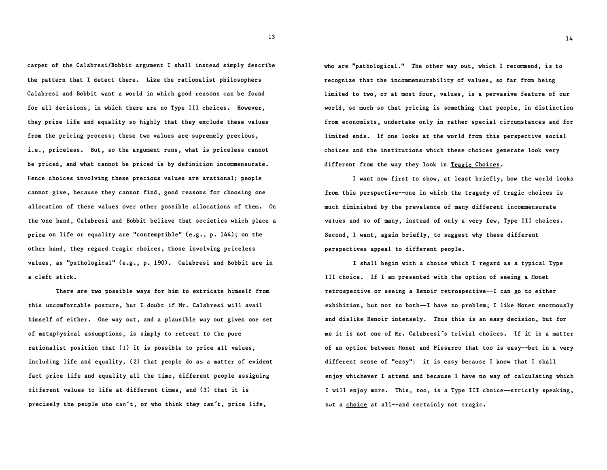carpet of the Calabresi/Bobbit argument I shall instead simply describe the pattern that I detect there. Like the rationalist philosophers Calabresi and Bobbit want a world in which good reasons can be found for all decisions, in which there are no Type III choices. However, they prize life and equality so highly that they exclude these values from the pricing process; these two values are supremely precious, i.e., priceless. But, so the argument runs, what is priceless cannot be priced, and what cannot be priced is by definition incommensurate. Hence choices involving these precious values are arational; people cannot give, because they cannot find, good reasons for choosing one allocation of these values over other possible allocations of them. On the one hand, Calabresi and Bobbit believe that societies which place a price on life or equality are "contemptible" (e.g., p. 144); on the other hand, they regard tragic choices, those involving priceless values, as "pathological" (e.g., p. 190). Calabresi and Bobbit are in a cleft stick.

There are two possible ways for him to extricate himself from this uncomfortable posture, but I doubt if Mr. Calabresi will avail himself of either. One way out, and a plausible way out given one set of metaphysical assumptions, is simply to retreat to the pure rationalist position that (1) it is possible to price all values, including life and equality, (2) that people do as a matter of evident fact price life and equality all the time, different people assigning different values to life at different times, and (3) that it is precisely the people who can't, or who think they can't, price life,

who are "pathological." The other way out, which I recommend, is to recognize that the incommensurability of values, so far from being limited to two, or at most four, values, is a pervasive feature of our world, so much so that pricing is something that people, in distinction from economists, undertake only in rather special circumstances and for limited ends. If one looks at the world from this perspective social choices and the institutions which these choices generate look very different from the way they look in Tragic Choices.

I want now first to show, at least briefly, how the world looks from this perspective--one in which the tragedy of tragic choices is much diminished by the prevalence of many different incommensurate vaiues and so of many, instead of only a very few, Type III choices. Second, I want, again briefly, to suggest why these different perspectives appeal to different people.

I shall begin with a choice which I regard as a typical Type III choice. If I am presented with the option of seeing a Monet retrospective or seeing a Renoir retrospective--I can go to either exhibition, but not to both--I have no problem; I like Monet enormously and dislike Renoir intensely. Thus this is an easy decision, but for me it is not one of Mr. Calabresi's trivial choices. If it is a matter of an option between Monet and Pissarro that too is easy--but in a very different sense of "easy": it is easy because I know that I shall enjoy whichever I attend and because I have no way of calculating which I will enjoy more. This, too, is a Type III choice--strictly speaking, nut a choice at all--and certainly not tragic.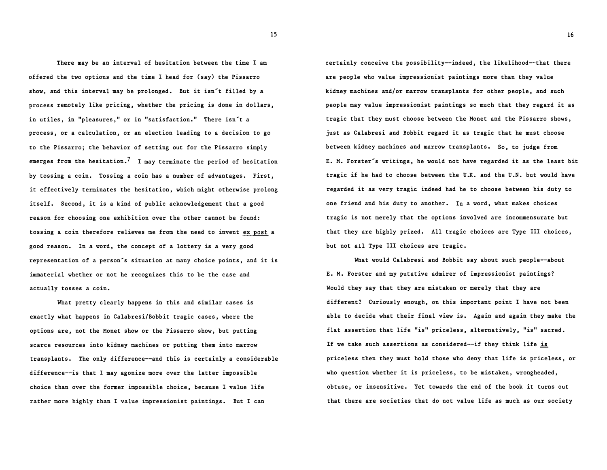There may be an interval of hesitation between the time I am offered the two options and the time I head for (say) the Pissarro show, and this interval may be prolonged. But it isn't filled by a process remotely like pricing, whether the pricing is done in dollars, in utiles, in "pleasures," or in "satisfaction." There isn't a process, or a calculation, or an election leading to a decision to go to the Pissarro; the behavior of setting out for the Pissarro simply emerges from the hesitation.<sup>7</sup> I may terminate the period of hesitation by tossing a coin. Tossing a coin has a number of advantages. First, it effectively terminates the hesitation, which might otherwise prolong itself. Second, it is a kind of public acknowledgement that a good reason for choosing one exhibition over the other cannot be found: tossing a coin therefore relieves me from the need to invent ex post a good reason. In a word, the concept of a lottery is a very good representation of a person's situation at many choice points, and it is immaterial whether or not he recognizes this to be the case and actually tosses a coin.

What pretty clearly happens in this and similar cases is exactly what happens in Calabresi/Bobbit tragic cases, where the options are, not the Monet show or the Pissarro show, but putting scarce resources into kidney machines or putting them into marrow transplants. The only difference--and this is certainly a considerable difference--is that I may agonize more over the latter impossible choice than over the former impossible choice, because I value life rather more highly than I value impressionist paintings. But I can

certainly conceive the possibility--indeed, the likelihood--that there are people who value impressionist paintings more than they value kidney machines and/or marrow transplants for other people, and such people may value impressionist paintings so much that they regard it as tragic that they must choose between the Monet and the Pissarro shows, just as Calabresi and Bobbit regard it as tragic that he must choose between kidney machines and marrow transplants. So, to judge from E. M. Forster's writings, he would not have regarded it as the least bit tragic if he had to choose between the U.K. and the U.N. but would have regarded it as very tragic indeed had he to choose between his duty to one friend and his duty to another. In a word, what makes choices tragic is not merely that the options involved are incommensurate but that they are highly prized. All tragic choices are Type III choices, but not all Type III choices are tragic.

What would Calabresi and Bobbit say about such people--about E. M. Forster and my putative admirer of impressionist paintings? Would they say that they are mistaken or merely that they are different? Curiously enough, on this important point I have not been able to decide what their final view is. Again and again they make the flat assertion that life "is" priceless, alternatively, "is" sacred. If we take such assertions as considered--if they think life is priceless then they must hold those who deny that life is priceless, or who question whether it is priceless, to be mistaken, wrongheaded, obtuse, or insensitive. Yet towards the end of the book it turns out that there are societies that do not value life as much as our society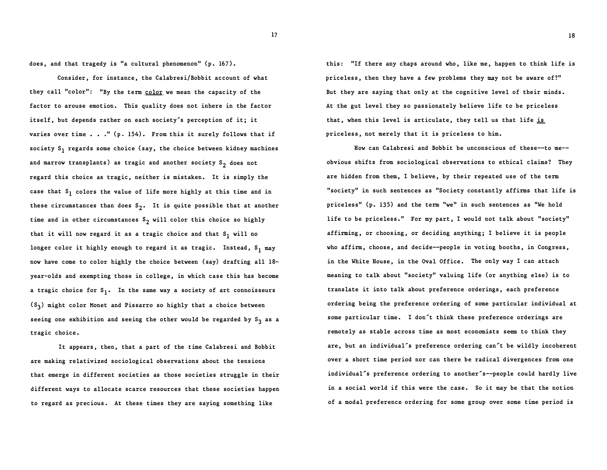does, and that tragedy is "a cultural phenomenon" (p. 167).

Consider, for instance, the Calabresi/Bobbit account of what they call "color": "By the term color we mean the capacity of the factor to arouse emotion. This quality does not inhere in the factor itself, but depends rather on each society's perception of it; it varies over time  $\ldots$ ." (p. 154). From this it surely follows that if society  $s_1$  regards some choice (say, the choice between kidney machines and marrow transplants) as tragic and another society  $S_2$  does not regard this choice as tragic, neither is mistaken. It is simply the case that 8 1 colors the value of life more highly at this time and in these circumstances than does  $s_2$ . It is quite possible that at another time and in other circumstances  $s_2$  will color this choice so highly that it will now regard it as a tragic choice and that  $s_1$  will no longer color it highly enough to regard it as tragic. Instead, S<sub>1</sub> may now have come to color highly the choice between (say) drafting all 18 year-olds and exempting those in college, in which case this has become a tragic choice for  $s_1$ . In the same way a society of art connoisseurs  $(S_3)$  might color Monet and Pissarro so highly that a choice between seeing one exhibition and seeing the other would be regarded by S<sub>3</sub> as a tragic choice.

It appears, then, that a part of the time Calabresi and Bobbit are making relativized sociological observations about the tensions that emerge in different societies as those societies struggle in their different ways to allocate scarce resources that these societies happen to regard as precious. At these times they are saying something like

this: "If there any chaps around who, like me, happen to think life is priceless, then they have a few problems they may not be aware of?" But they are saying that only at the cognitive level of their minds. At the gut level they so passionately believe life to be priceless that, when this level is articulate, they tell us that life is priceless, not merely that it is priceless to him.

How can Calabresi and Bobbit be unconscious of these--to me obvious shifts from sociological observations to ethical claims? They are hidden from them, I believe, by their repeated use of the term "society" in such sentences as "Society constantly affirms that life is priceless" (p. 135) and the term "we" in such sentences as "We hold life to be priceless." For my part, I would not talk about "society" affirming, or choosing, or deciding anything; I believe it is people who affirm, choose, and decide--people in voting booths, in Congress, in the White House, in the Oval Office. The only way I can attach meaning to talk about "society" valuing life (or anything else) is to translate it into talk about preference orderings, each preference ordering being the preference ordering of some particular individual at some particular time. I don't think these preference orderings are remotely as stable across time as most economists seem to think they are, but an individual's preference ordering can't be wildly incoherent over a short time period nor can there be radical divergences from one individual's preference ordering to another's--people could hardly live in a social world if this were the case. So it may be that the notion of a modal preference ordering for some group over some time period is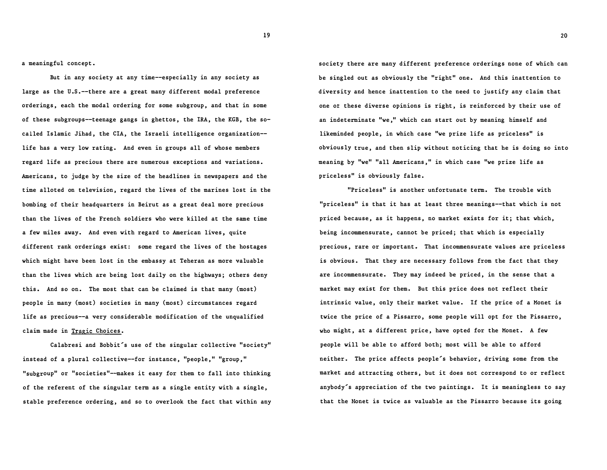a meaningful concept.

But in any society at any time--especially in any society as large as the U.S.--there are a great many different modal preference orderings, each the modal ordering for some subgroup, and that in some of these subgroups--teenage gangs in ghettos, the IRA, the KGB, the socalled Islamic Jihad, the CIA, the Israeli intelligence organization life has a very low rating. And even in groups all of whose members regard life as precious there are numerous exceptions and variations. Americans, to judge by the size of the headlines in newspapers and the time alloted on television, regard the lives of the marines lost in the bombing of their headquarters in Beirut as a great deal more precious than the lives of the French soldiers who were killed at the same time a few miles away. And even with regard to American lives, quite different rank orderings exist: some regard the lives of the hostages which might have been lost in the embassy at Teheran as more valuable than the lives which are being lost daily on the highways; others deny this. And so on. The most that can be claimed is that many (most) people in many (most) societies in many (most) circumstances regard life as precious--a very considerable modification of the unqualified claim made in Tragic Choices.

Calabresi and Bobbit's use of the singular collective "society" instead of a plural collective--for instance, "people, " "group, " "subgroup" or "societies"--makes it easy for them to fall into thinking of the referent of the singular term as a single entity with a single, stable preference ordering, and so to overlook the fact that within any society there are many different preference orderings none of which can be singled out as obviously the "right" one. And this inattention to diversity and hence inattention to the need to justify any claim that one ot these diverse opinions is right, is reinforced by their use of an indeterminate "we," which can start out by meaning himself and likeminded people, in which case "we prize life as priceless" is obviously true, and then slip without noticing that he is doing so into meaning by "we" "all Americans," in which case "we prize life as priceless" is obviously false.

"Priceless" is another unfortunate term. The trouble with "priceless" is that it has at least three meanings--that which is not priced because, as it happens, no market exists for it; that which, being incommensurate, cannot be priced; that which is especially precious, rare or important. That incommensurate values are priceless is obvious. That they are necessary follows from the fact that they are incommensurate. They may indeed be priced, in the sense that a market may exist for them. But this price does not reflect their intrinsic value, only their market value. If the price of a Monet is twice the price of a Pissarro, some people will opt for the Pissarro, who might, at a different price, have opted for the Monet. A few people will be able to afford both; most will be able to afford neither. The price affects people's behavior, driving some from the market and attracting others, but it does not correspond to or reflect anybody's appreciation of the two paintings. It is meaningless to say that the Honet is twice as valuable as the Pissarro because its going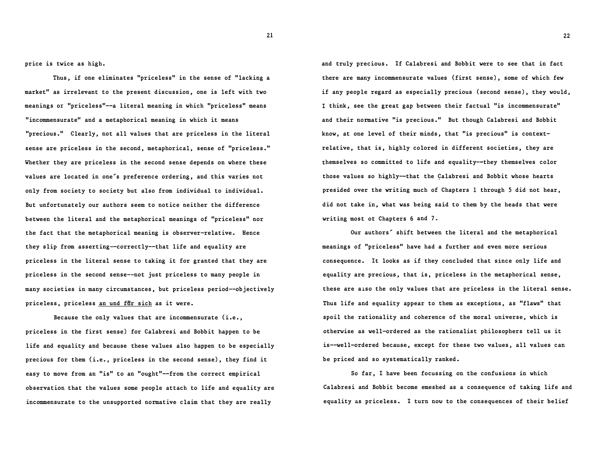price is twice as high.

Thus, if one eliminates "priceless" in the sense of "lacking a market" as irrelevant to the present discussion, one is left with two meanings or "priceless"--a literal meaning in which "priceless" means "incommensurate" and a metaphorical meaning in which it means "precious." Clearly, not all values that are priceless in the literal sense are priceless in the second, metaphorical, sense of "priceless." Whether they are priceless in the second sense depends on where these values are located in one's preference ordering, and this varies not only from society to society but also from individual to individual. But unfortunately our authors seem to notice neither the difference between the literal and the metaphorical meanings of "priceless" nor the fact that the metaphorical meaning is observer-relative. Hence they slip from asserting--correctly--that life and equality are priceless in the literal sense to taking it for granted that they are priceless in the second sense--not just priceless to many people in many societies in many circumstances, but priceless period--objectively priceless, priceless an und fur sich as it were.

Because the only values that are incommensurate (i.e., priceless in the first sense) for Calabresi and Bobbit happen to be life and equality and because these values also happen to be especially precious for them (i.e., priceless in the second sense), they find it easy to move from an "is" to an "ought"--from the correct empirical observation that the values some people attach to life and equality are incommensurate to the unsupported normative claim that they are really

and truly precious. If Calabresi and Bobbit were to see that in fact there are many incommensurate values (first sense), some of which few if any people regard as especially precious (second sense), they would, I think, see the great gap between their factual "is incommensurate" and their normative "is precious." But though Calabresi and Bobbit know, at one level of their minds, that "is precious" is contextrelative, that is, highly colored in different societies, they are themselves so committed to life and equality--they themselves color those values so highly--that the Calabresi and Bobbit whose hearts presided over the writing much of Chapters 1 through 5 did not hear, did not take in, what was being said to them by the heads that were writing most ot Chapters 6 and 7.

Our authors' shift between the literal and the metaphorical meanings of "priceless" have had a further and even more serious consequence. It looks as if they concluded that since only life and equality are precious, that is, priceless in the metaphorical sense, these are also the only values that are priceless in the literal sense. Thus life and equality appear to them as exceptions, as "flaws" that spoil the rationality and coherence of the moral universe, which is otherwise as well-ordered as the rationalist philosophers tell us it is--well-ordered because, except for these two values, all values can be priced and so systematically ranked.

So far, I have been focussing on the confusions in which Calabresi and Bobbit become emeshed as a consequence of taking life and equality as priceless. I turn now to the consequences of their belief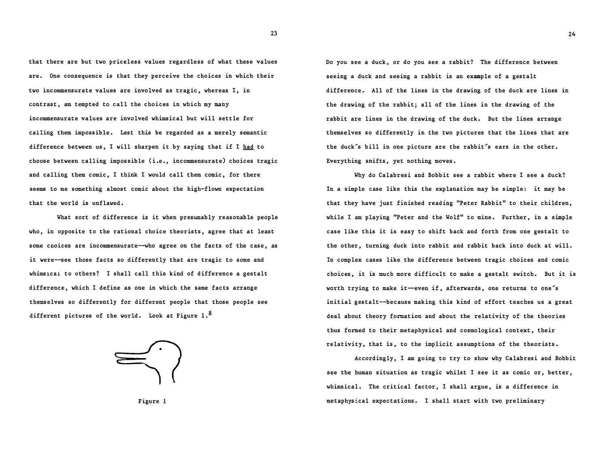that there are but two priceless values regardless of what these values are. One consequence is that they perceive the choices in which their two incommensurate values are involved as tragic, whereas I, in contrast, am tempted to call the choices in which my many incommensurate values are invalved whimsical but will settle for calling them impossible. Lest this be regarded as a merely semantic difference between us, I will sharpen it by saying that if I had to choose between calling impossible (i.e., incommensurate) choices tragic and calling them comic, I think I would call them comic, for there seems to me something almost comic about the high-flown expectation that the world is unflawed.

What sort of difference is it when presumably reasonable people who, in opposite to the rational choice theorists, agree that at least some cnoices are incommensurate--who agree on the facts of the case, as it were--see those facts so differently that are tragic to some and whimsical to others? I shall call this kind of difference a gestalt difference, which I define as one in which the same facts arrange themselves so differently for different people that those people see different pictures of the world. Look at Figure 1.<sup>8</sup>



Figure 1

Do you see a duck, or do you see a rabbit? The difference between seeing a duck and seeing a rabbit is an example of a gestalt difference. All of the lines in the drawing of the duck are lines in the drawing of the rabbit; all of the lines in the drawing of the rabbit are lines in the drawing of the duck. But the lines arrange themselves so differently in the two pictures that the lines that are the duck's bill in one picture are the rabbit's ears in the other. Everything snifts, yet nothing moves.

Why do Calabresi and Bobbit see a rabbit where I see a duck? In a simple case like this the explanation may be simple: it may be that they have just finished reading "Peter Rabbit" to their children, while I am playing "Peter and the Wolf" to mine. Further, in a simple case like this it is easy to shift back and forth from one gestalt to the other, turning duck into rabbit and rabbit back into duck at will. In complex cases like the difference between tragic choices and comic choices, it is much more difficult to make a gestalt switch. But it is worth trying to make it-even if, afterwards, one returns to one's initial gestalt--because making this kind of effort teaches us a great deal about theory formation and about the relativity of the theories thus formed to their metaphysical and cosmological context, their relativity, that is, to the implicit assumptions of the theorists.

Accordingly, I am going to try to show why Calabresi and Bobbit see the human situation as tragic whilst I see it as comic or, better, whimsical. The critical factor, I shall argue, is a difference in metaphysical expectations. I shall start with two preliminary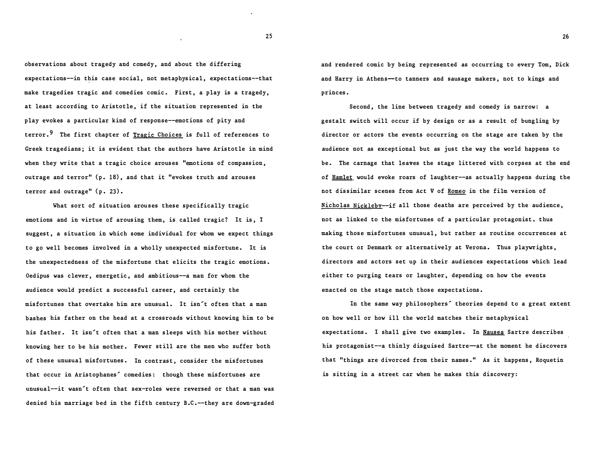observations about tragedy and comedy, and about the differing expectations--in this case social, not metaphysical, expectations--that make tragedies tragic and comedies comic. First, a play is a tragedy, at least according to Aristotle, if the situation represented in the play evokes a particular kind of response--emotions of pity and terror.<sup>9</sup> The first chapter of Tragic Choices is full of references to Greek tragedians; it is evident that the authors have Aristotle in mind when they write that a tragic choice arouses "emotions of compassion, outrage and terror" (p. 18), and that it "evokes truth and arouses terror and outrage" (p. 23).

What sort of situation arouses these specifically tragic emotions and in virtue of arousing them, is called tragic? It is, I suggest, a situation in which some individual for whom we expect things to go well becomes involved in a wholly unexpected misfortune. It is the unexpectedness of the misfortune that elicits the tragic emotions. Oedipus was clever, energetic, and ambitious--a man for whom the audience would predict a successful career, and certainly the misfortunes that overtake him are unusual. It isn't often that a man bashes his father on the head at a crossroads without knowing him to be his father. It isn't often that a man sleeps with his mother without knowing her to be his mother. Fewer still are the men who suffer both of these unusual misfortunes. In contrast, consider the misfortunes that occur in Aristophanes' comedies: though these misfortunes are unusual--it wasn't often that sex-roles were reversed or that a man was denied his marriage bed in the fifth century B.C.--they are down-graded and rendered comic by being represented as occurring to every Tom, Dick and Harry in Athens--to tanners and sausage makers, not to kings and princes.

Second, the line between tragedy and comedy is narrow: a gestalt switch will occur if by design or as a result of bungling by director or actors the events occurring on the stage are taken by the audience not as exceptional but as just the way the world happens to be. The carnage that leaves the stage littered with corpses at the end of Hamlet would evoke roars of laughter--as actually happens during the not dissimilar scenes from Act V of Romeo in the film version of Nicholas Nickleby--if all those deaths are perceived by the audience, not as linked to the misfortunes of a particular protagonist, thus making those misfortunes unusual, but rather as routine occurrences at the court or Denmark or alternatively at Verona. Thus playwrights, directors and actors set up in their audiences expectations which lead either to purging tears or laughter, depending on how the events enacted on the stage match those expectations.

In the same way philosophers' theories depend to a great extent on how well or how ill the world matches their metaphysical expectations. I shall give two examples. In Nausea Sartre describes his protagonist--a thinly disguised Sartre-at the moment he discovers that "things are divorced from their names." As it happens, Roquetin is sitting in a street car when he makes this discovery: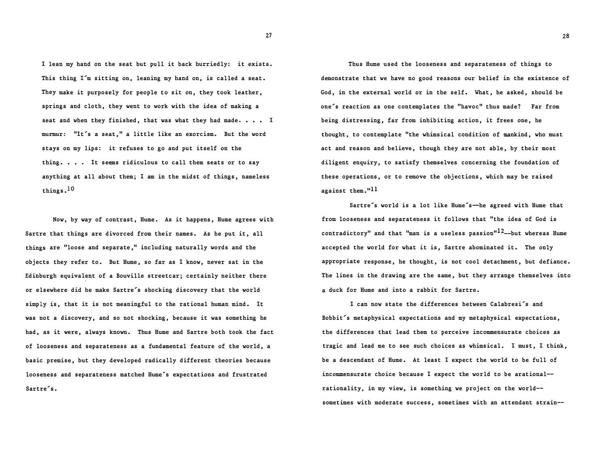I lean my hand on the seat but pull it back hurriedly: it exists. This thing I'm sitting on, leaning my hand on, is called a seat. They make it purposely for people to sit on, they took leather, springs and cloth, they went to work with the idea of making a seat and when they finished, that was what they had made. . . . I murmur: "It's a seat," a little like an exorcism. But the word stays on my lips: it refuses to go and put itself on the thing. . . . It seems ridiculous to call them seats or to say anything at all about them; I am in the midst of things, nameless things.IO

Now, by way of contrast, Hume. As it happens, Hume agrees with Sartre that things are divorced from their names. As he put it, all things are "loose and separate," including naturally words and the objects they refer to. But Hume, so far as I know, never sat in the Edinburgh equivalent of a Bouville streetcar; certainly neither there or elsewhere did he make Sartre's shocking discovery that the world simply is, that it is not meaningful to the rational human mind. It was not a discovery, and so not shocking, because it was something he had, as it were, always known. Thus Hume and Sartre both took the fact of looseness and separateness as a fundamental feature of the world, a basic premise, but they developed radically different theories because looseness and separateness matched Hume's expectations and frustrated Sartre's.

Thus Hume used the looseness and separateness of things to demonstrate that we have no good reasons our belief in the existence of God, in the external world or in the self. What, he asked, should be one's reaction as one contemplates the "havoc" thus made? Far from being distressing, far from inhibiting action, it frees one, he thought, to contemplate "the whimsical condition of mankind, who must act and reason and believe, though they are not able, by their most diligent enquiry, to satisfy themselves concerning the foundation of these operations, or to remove the objections, which may be raised against them."<sup>11</sup>

Sartre's world is a lot like Hume's-he agreed with Hume that from looseness and separateness it follows that "the idea of God is contradictory" and that "man is a useless passion"<sup>12</sup>--but whereas Hume accepted the world for what it is, Sartre abominated it. The only appropriate response, he thought, is not cool detachment, but defiance. The lines in the drawing are the same, but they arrange themselves into a duck for Hume and into a rabbit for Sartre.

I can now state the differences between Calabresi's and Bobbit's metaphysical expectations and my metaphysical expectations, the differences that lead them to perceive incommensurate choices as tragic and lead me to see such choices as whimsical. I must, I think, be a descendant of Hume. At least I expect the world to be full of incommensurate choice because I expect the world to be arational rationality, in my view, is something we project on the world sometimes with moderate success, sometimes with an attendant strain--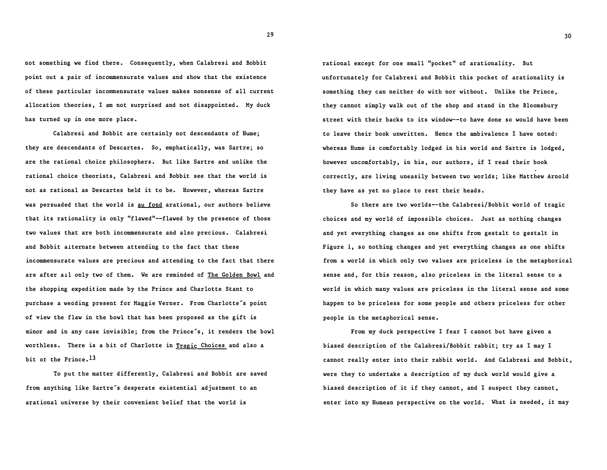not something we find there. Consequently, when Calabresi and Bobbit point out a pair of incommensurate values and show that the existence of these particular incommensurate values makes nonsense of all current allocation theories, I am not surprised and not disappointed. My duck has turned up in one more place.

Calabresi and Bobbit are certainly not descendants of Hume; they are descendants of Descartes. So, emphatically, was Sartre; so are the rational choice philosophers. But like Sartre and unlike the rational choice theorists, Calabresi and Bobbit see that the world is not as rational as Descartes held it to be. However, whereas Sartre was persuaded that the world is au fond arational, our authors believe that its rationality is only "f lawed"--flawed by the presence of those two values that are both incommensurate and also precious. Calabresi and Bobbit alternate between attending to the fact that these incommensurate values are precious and attending to the fact that there are after ail only two of them. We are reminded of The Golden Bowl and the shopping expedition made by the Prince and Charlotte Stant to purchase a weading present for Maggie Verner. From Charlotte's point of view the flaw in the bowl that has been proposed as the gift is minor and in any case invisible; from the Prince's, it renders the bowl worthless. There is a bit of Charlotte in Tragic Choices and also a bit of the Prince.<sup>13</sup>

To put the matter differently, Calabresi and Bobbit are saved from anything like Sartre's desperate existential adjustment to an arational universe by their convenient belief that the world is

rational except for one small "pocket" of arationality. But unfortunately for Calabresi and Bobbit this pocket of arationality is something they can neither do with nor without. Unlike the Prince, they cannot simply walk out of the shop and stand in the Bloomsbury street with their backs to its window--to have done so would have been to leave their book unwritten. Hence the ambivalence I have noted: whereas Hume is comfortably lodged in his world and Sartre is lodged, however uncomfortably, in his, our authors, if I read their book correctly, are living uneasily between two worlds; like Matthew Arnold they have as yet no place to rest their heads.

So there are two worlds--the Calabresi/Bobbit world of tragic choices and my world of impossible choices. Just as nothing changes and yet everything changes as one shifts from gestalt to gestalt in Figure 1, so nothing changes and yet everything changes as one shifts from a world in which only two values are priceless in the metaphorical sense and, for this reason, also priceless in the literal sense to a world in which many values are priceless in the literal sense and some happen to be priceless for some people and others priceless for other people in the metaphorical sense.

From my duck perspective I fear I cannot but have given a biased description of the Calabresi/Bobbit rabbit; try as I may I cannot really enter into their rabbit world. And Calabresi and Bobbit, were they to undertake a description of my duck world would give a biased description of it if they cannot, and I suspect they cannot, enter into my Humean perspective on the world. What is needed, it may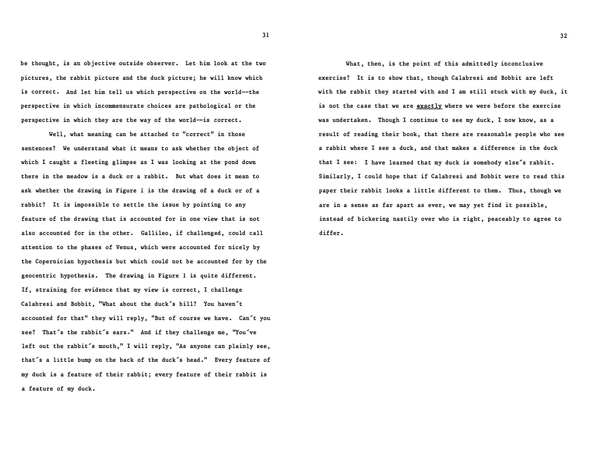be thought, is an objective outside observer. Let him look at the two pictures, the rabbit picture and the duck picture; he will know which is correct. And let him tell us which perspective on the world--the perspective in which incommensurate choices are pathological or the perspective in which they are the way of the world--is correct.

Well, what meaning can be attached to "correct" in those sentences? We understand what it means to ask whether the object of which I caught a fleeting glimpse as I was looking at the pond down there in the meadow is a duck or a rabbit. But what does it mean to ask whether the drawing in Figure 1 is the drawing 0£ a duck or of a rabbit? It is impossible to settle the issue by pointing to any feature of the drawing that is accounted for in one view that is not also accounted for in the other. Gallileo, if challenged, could call attention to the phases of Venus, which were accounted for nicely by the Copernician hypothesis but which could not be accounted for by the geocentric hypothesis. The drawing in Figure 1 is quite different. If, straining for evidence that my view is correct, I challenge Calabresi and Bobbit, "What about the duck's bill? You haven't accounted for that" they will reply, "But of course we have. Can't you see? That's the rabbit's ears." And if they challenge me, "You've left out the rabbit's mouth," I will reply, "As anyone can plainly see, that's a little bump on the back of the duck's head." Every feature of my duck is a feature of their rabbit; every feature of their rabbit is a feature of my duck.

What, then, is the point of this admittedly inconclusive exercise? It is to show that, though Calabresi and Bobbit are left with the rabbit they started with and I am still stuck with my duck, it is not the case that we are exactly where we were before the exercise was undertaken. Though I continue to see my duck, I now know, as a result of reading their book, that there are reasonable people who see a rabbit where I see a duck, and that makes a difference in the duck that I see: I have learned that my duck is somebody else's rabbit. Similarly, I could hope that if Calabresi and Bobbit were to read this paper their rabbit looks a little different to them. Thus, though we are in a sense as far apart as ever, we may yet find it possible, instead of bickering nastily over who is right, peaceably to agree to differ.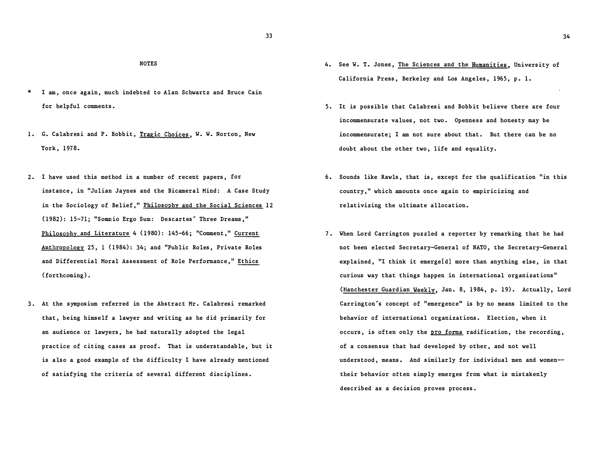### NOTES

- \* I am, once again, much indebted to Alan Schwartz and Bruce Cain for helpful comments.
- 1. G. Calabresi and P. Bobbit, Tragic Choices, W. W. Norton, New York, 1978.
- 2. I have used this method in a number of recent papers, for instance, in "Julian Jaynes and the Bicameral Mind: A Case Study in the Sociology of Belief," Philosophy and the Social Sciences 12 0 982): 15-71; "Somnio Ergo Sum: Descartes' Three Dreams," Philosophy and Literature 4 (1980): 145-66; "Comment," Current Anthropology 25, 1 (1984): 34; and "Public Roles, Private Roles and Differential Moral Assessment of Role Performance," Ethics (forthcoming) •
- 3. At the symposium referred in the Abstract Mr. Calabresi remarked that, being himself a lawyer and writing as he did primarily for an audience or lawyers, he had naturally adopted the legal practice of citing cases as proof. That is understandable, but it is also a good example of the difficulty I have already mentioned of satisfying the criteria of several different disciplines.
- 4. See W. T. Jones, The Sciences and the Humanities, University of California Press, Berkeley and Los Angeles, 1965, p. 1.
- 5. It is possible that Calabresi and Bobbit believe there are four incommensurate values, not two. Openness and honesty may be incommensurate; I am not sure about that. But there can be no doubt about the other two, life and equality.
- 6. Sounds like Rawls, that is, except for the qualification "in this country," which amounts once again to empiricizing and relativizing the ultimate allocation.
- 7. When Lord Carrington puzzled a reporter by remarking that he had not been elected Secretary-General of NATO, the Secretary-General explained, "I think it emerge[d] more than anything else, in that curious way that things happen in international organizations" (Manchester Guardian Weekly, Jan. 8, 1984, p. 19). Actually, Lord Carrington's concept of "emergence" is by no means limited to the behavior of international organizations. Election, when it occurs, is often only the pro forma radification, the recording, of a consensus that had developed by other, and not well understood, means. And similarly for individual men and women their behavior often simply emerges from what is mistakenly described as a decision proves process.